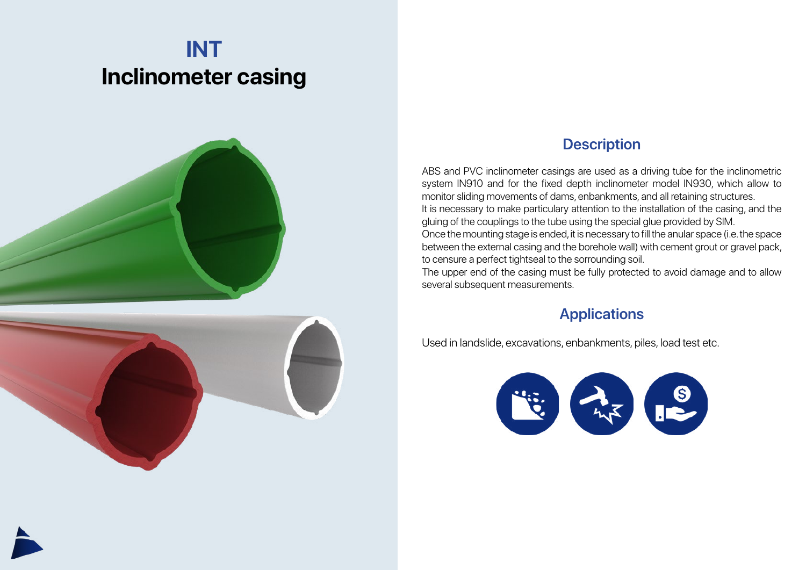## **INT Inclinometer casing**



## **Description**

ABS and PVC inclinometer casings are used as a driving tube for the inclinometric system IN910 and for the fixed depth inclinometer model IN930, which allow to monitor sliding movements of dams, enbankments, and all retaining structures. It is necessary to make particulary attention to the installation of the casing, and the gluing of the couplings to the tube using the special glue provided by SIM. Once the mounting stage is ended, it is necessary to fill the anular space (i.e. the space between the external casing and the borehole wall) with cement grout or gravel pack, to censure a perfect tightseal to the sorrounding soil.

The upper end of the casing must be fully protected to avoid damage and to allow several subsequent measurements.

## **Applications**

Used in landslide, excavations, enbankments, piles, load test etc.